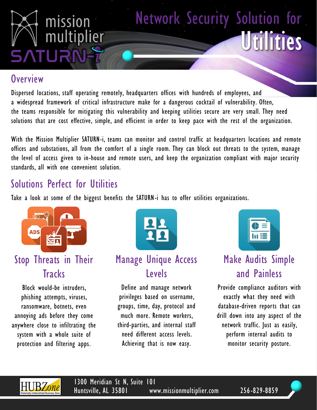

#### **Overview**

Dispersed locations, staff operating remotely, headquarters offices with hundreds of employees, and a widespread framework of critical infrastructure make for a dangerous cocktail of vulnerability. Often, the teams responsible for mitigating this vulnerability and keeping utilities secure are very small. They need solutions that are cost effective, simple, and efficient in order to keep pace with the rest of the organization.

With the Mission Multiplier SATURN-i, teams can monitor and control traffic at headquarters locations and remote offices and substations, all from the comfort of a single room. They can block out threats to the system, manage the level of access given to in-house and remote users, and keep the organization compliant with major security standards, all with one convenient solution.

### Solutions Perfect for Utilities

Take a look at some of the biggest benefits the SATURN-i has to offer utilities organizations.



## Stop Threats in Their **Tracks**

Block would-be intruders, phishing attempts, viruses, ransomware, botnets, even annoying ads before they come anywhere close to infiltrating the system with a whole suite of protection and filtering apps.



#### Manage Unique Access Levels

Define and manage network privileges based on username, groups, time, day, protocol and much more. Remote workers, third-parties, and internal staff need different access levels. Achieving that is now easy.



Utilities

Network Security Solution for

# Make Audits Simple and Painless

Provide compliance auditors with exactly what they need with database-driven reports that can drill down into any aspect of the network traffic. Just as easily, perform internal audits to monitor security posture.



1300 Meridian St N, Suite 101 Huntsville, AL 35801 www.missionmultiplier.com 256-829-8859